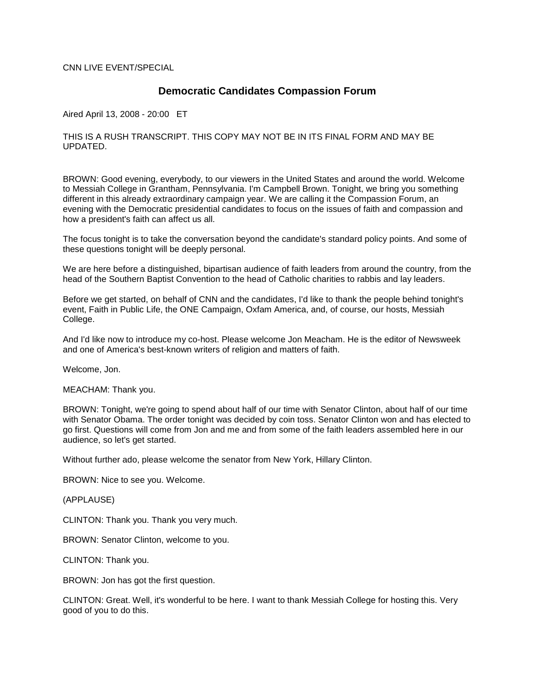# CNN LIVE EVENT/SPECIAL

# **Democratic Candidates Compassion Forum**

Aired April 13, 2008 - 20:00 ET

# THIS IS A RUSH TRANSCRIPT. THIS COPY MAY NOT BE IN ITS FINAL FORM AND MAY BE UPDATED.

BROWN: Good evening, everybody, to our viewers in the United States and around the world. Welcome to Messiah College in Grantham, Pennsylvania. I'm Campbell Brown. Tonight, we bring you something different in this already extraordinary campaign year. We are calling it the Compassion Forum, an evening with the Democratic presidential candidates to focus on the issues of faith and compassion and how a president's faith can affect us all.

The focus tonight is to take the conversation beyond the candidate's standard policy points. And some of these questions tonight will be deeply personal.

We are here before a distinguished, bipartisan audience of faith leaders from around the country, from the head of the Southern Baptist Convention to the head of Catholic charities to rabbis and lay leaders.

Before we get started, on behalf of CNN and the candidates, I'd like to thank the people behind tonight's event, Faith in Public Life, the ONE Campaign, Oxfam America, and, of course, our hosts, Messiah College.

And I'd like now to introduce my co-host. Please welcome Jon Meacham. He is the editor of Newsweek and one of America's best-known writers of religion and matters of faith.

Welcome, Jon.

MEACHAM: Thank you.

BROWN: Tonight, we're going to spend about half of our time with Senator Clinton, about half of our time with Senator Obama. The order tonight was decided by coin toss. Senator Clinton won and has elected to go first. Questions will come from Jon and me and from some of the faith leaders assembled here in our audience, so let's get started.

Without further ado, please welcome the senator from New York, Hillary Clinton.

BROWN: Nice to see you. Welcome.

# (APPLAUSE)

CLINTON: Thank you. Thank you very much.

BROWN: Senator Clinton, welcome to you.

CLINTON: Thank you.

BROWN: Jon has got the first question.

CLINTON: Great. Well, it's wonderful to be here. I want to thank Messiah College for hosting this. Very good of you to do this.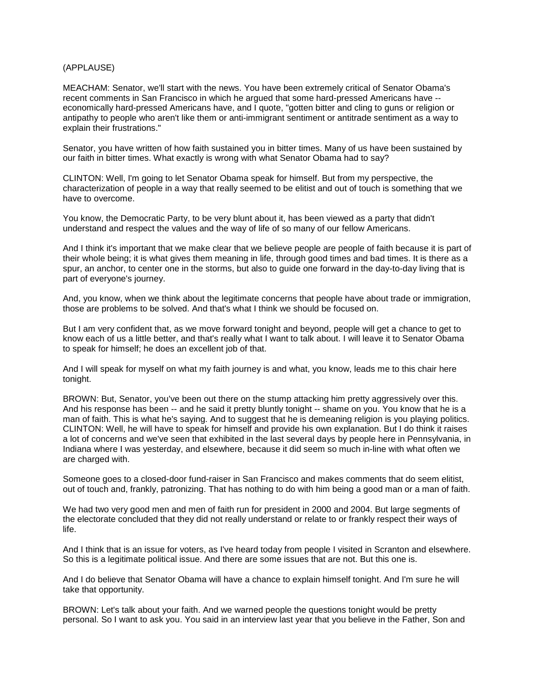# (APPLAUSE)

MEACHAM: Senator, we'll start with the news. You have been extremely critical of Senator Obama's recent comments in San Francisco in which he argued that some hard-pressed Americans have - economically hard-pressed Americans have, and I quote, "gotten bitter and cling to guns or religion or antipathy to people who aren't like them or anti-immigrant sentiment or antitrade sentiment as a way to explain their frustrations."

Senator, you have written of how faith sustained you in bitter times. Many of us have been sustained by our faith in bitter times. What exactly is wrong with what Senator Obama had to say?

CLINTON: Well, I'm going to let Senator Obama speak for himself. But from my perspective, the characterization of people in a way that really seemed to be elitist and out of touch is something that we have to overcome.

You know, the Democratic Party, to be very blunt about it, has been viewed as a party that didn't understand and respect the values and the way of life of so many of our fellow Americans.

And I think it's important that we make clear that we believe people are people of faith because it is part of their whole being; it is what gives them meaning in life, through good times and bad times. It is there as a spur, an anchor, to center one in the storms, but also to guide one forward in the day-to-day living that is part of everyone's journey.

And, you know, when we think about the legitimate concerns that people have about trade or immigration, those are problems to be solved. And that's what I think we should be focused on.

But I am very confident that, as we move forward tonight and beyond, people will get a chance to get to know each of us a little better, and that's really what I want to talk about. I will leave it to Senator Obama to speak for himself; he does an excellent job of that.

And I will speak for myself on what my faith journey is and what, you know, leads me to this chair here tonight.

BROWN: But, Senator, you've been out there on the stump attacking him pretty aggressively over this. And his response has been -- and he said it pretty bluntly tonight -- shame on you. You know that he is a man of faith. This is what he's saying. And to suggest that he is demeaning religion is you playing politics. CLINTON: Well, he will have to speak for himself and provide his own explanation. But I do think it raises a lot of concerns and we've seen that exhibited in the last several days by people here in Pennsylvania, in Indiana where I was yesterday, and elsewhere, because it did seem so much in-line with what often we are charged with.

Someone goes to a closed-door fund-raiser in San Francisco and makes comments that do seem elitist, out of touch and, frankly, patronizing. That has nothing to do with him being a good man or a man of faith.

We had two very good men and men of faith run for president in 2000 and 2004. But large segments of the electorate concluded that they did not really understand or relate to or frankly respect their ways of life.

And I think that is an issue for voters, as I've heard today from people I visited in Scranton and elsewhere. So this is a legitimate political issue. And there are some issues that are not. But this one is.

And I do believe that Senator Obama will have a chance to explain himself tonight. And I'm sure he will take that opportunity.

BROWN: Let's talk about your faith. And we warned people the questions tonight would be pretty personal. So I want to ask you. You said in an interview last year that you believe in the Father, Son and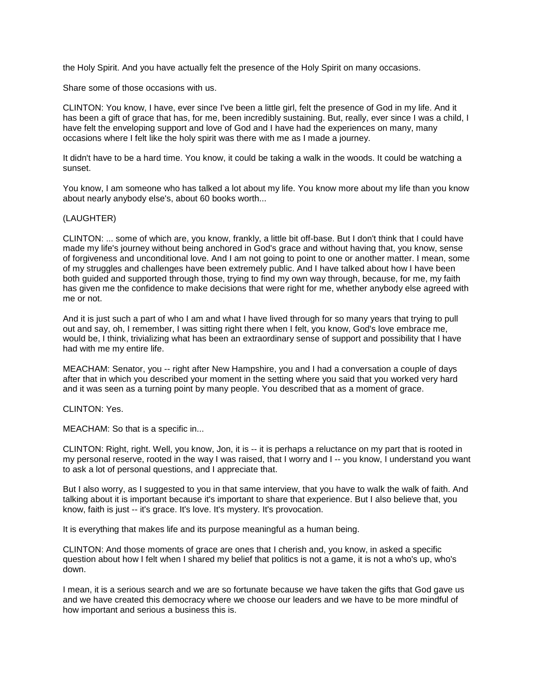the Holy Spirit. And you have actually felt the presence of the Holy Spirit on many occasions.

Share some of those occasions with us.

CLINTON: You know, I have, ever since I've been a little girl, felt the presence of God in my life. And it has been a gift of grace that has, for me, been incredibly sustaining. But, really, ever since I was a child, I have felt the enveloping support and love of God and I have had the experiences on many, many occasions where I felt like the holy spirit was there with me as I made a journey.

It didn't have to be a hard time. You know, it could be taking a walk in the woods. It could be watching a sunset.

You know, I am someone who has talked a lot about my life. You know more about my life than you know about nearly anybody else's, about 60 books worth...

# (LAUGHTER)

CLINTON: ... some of which are, you know, frankly, a little bit off-base. But I don't think that I could have made my life's journey without being anchored in God's grace and without having that, you know, sense of forgiveness and unconditional love. And I am not going to point to one or another matter. I mean, some of my struggles and challenges have been extremely public. And I have talked about how I have been both guided and supported through those, trying to find my own way through, because, for me, my faith has given me the confidence to make decisions that were right for me, whether anybody else agreed with me or not.

And it is just such a part of who I am and what I have lived through for so many years that trying to pull out and say, oh, I remember, I was sitting right there when I felt, you know, God's love embrace me, would be, I think, trivializing what has been an extraordinary sense of support and possibility that I have had with me my entire life.

MEACHAM: Senator, you -- right after New Hampshire, you and I had a conversation a couple of days after that in which you described your moment in the setting where you said that you worked very hard and it was seen as a turning point by many people. You described that as a moment of grace.

CLINTON: Yes.

MEACHAM: So that is a specific in...

CLINTON: Right, right. Well, you know, Jon, it is -- it is perhaps a reluctance on my part that is rooted in my personal reserve, rooted in the way I was raised, that I worry and I -- you know, I understand you want to ask a lot of personal questions, and I appreciate that.

But I also worry, as I suggested to you in that same interview, that you have to walk the walk of faith. And talking about it is important because it's important to share that experience. But I also believe that, you know, faith is just -- it's grace. It's love. It's mystery. It's provocation.

It is everything that makes life and its purpose meaningful as a human being.

CLINTON: And those moments of grace are ones that I cherish and, you know, in asked a specific question about how I felt when I shared my belief that politics is not a game, it is not a who's up, who's down.

I mean, it is a serious search and we are so fortunate because we have taken the gifts that God gave us and we have created this democracy where we choose our leaders and we have to be more mindful of how important and serious a business this is.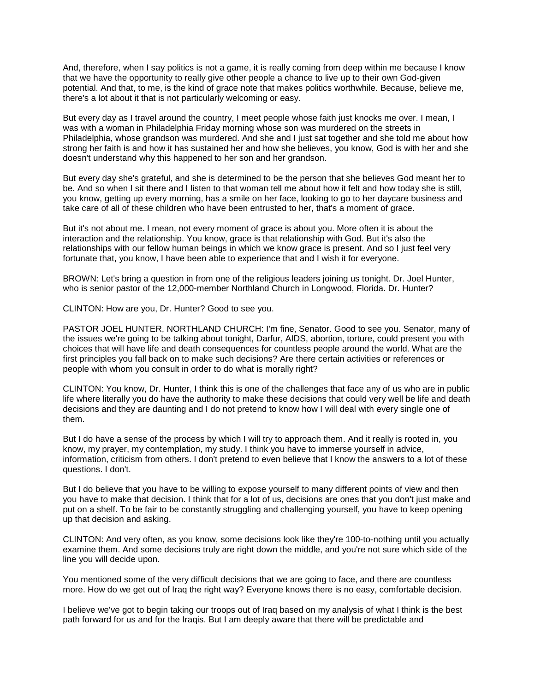And, therefore, when I say politics is not a game, it is really coming from deep within me because I know that we have the opportunity to really give other people a chance to live up to their own God-given potential. And that, to me, is the kind of grace note that makes politics worthwhile. Because, believe me, there's a lot about it that is not particularly welcoming or easy.

But every day as I travel around the country, I meet people whose faith just knocks me over. I mean, I was with a woman in Philadelphia Friday morning whose son was murdered on the streets in Philadelphia, whose grandson was murdered. And she and I just sat together and she told me about how strong her faith is and how it has sustained her and how she believes, you know, God is with her and she doesn't understand why this happened to her son and her grandson.

But every day she's grateful, and she is determined to be the person that she believes God meant her to be. And so when I sit there and I listen to that woman tell me about how it felt and how today she is still, you know, getting up every morning, has a smile on her face, looking to go to her daycare business and take care of all of these children who have been entrusted to her, that's a moment of grace.

But it's not about me. I mean, not every moment of grace is about you. More often it is about the interaction and the relationship. You know, grace is that relationship with God. But it's also the relationships with our fellow human beings in which we know grace is present. And so I just feel very fortunate that, you know, I have been able to experience that and I wish it for everyone.

BROWN: Let's bring a question in from one of the religious leaders joining us tonight. Dr. Joel Hunter, who is senior pastor of the 12,000-member Northland Church in Longwood, Florida. Dr. Hunter?

CLINTON: How are you, Dr. Hunter? Good to see you.

PASTOR JOEL HUNTER, NORTHLAND CHURCH: I'm fine, Senator. Good to see you. Senator, many of the issues we're going to be talking about tonight, Darfur, AIDS, abortion, torture, could present you with choices that will have life and death consequences for countless people around the world. What are the first principles you fall back on to make such decisions? Are there certain activities or references or people with whom you consult in order to do what is morally right?

CLINTON: You know, Dr. Hunter, I think this is one of the challenges that face any of us who are in public life where literally you do have the authority to make these decisions that could very well be life and death decisions and they are daunting and I do not pretend to know how I will deal with every single one of them.

But I do have a sense of the process by which I will try to approach them. And it really is rooted in, you know, my prayer, my contemplation, my study. I think you have to immerse yourself in advice, information, criticism from others. I don't pretend to even believe that I know the answers to a lot of these questions. I don't.

But I do believe that you have to be willing to expose yourself to many different points of view and then you have to make that decision. I think that for a lot of us, decisions are ones that you don't just make and put on a shelf. To be fair to be constantly struggling and challenging yourself, you have to keep opening up that decision and asking.

CLINTON: And very often, as you know, some decisions look like they're 100-to-nothing until you actually examine them. And some decisions truly are right down the middle, and you're not sure which side of the line you will decide upon.

You mentioned some of the very difficult decisions that we are going to face, and there are countless more. How do we get out of Iraq the right way? Everyone knows there is no easy, comfortable decision.

I believe we've got to begin taking our troops out of Iraq based on my analysis of what I think is the best path forward for us and for the Iraqis. But I am deeply aware that there will be predictable and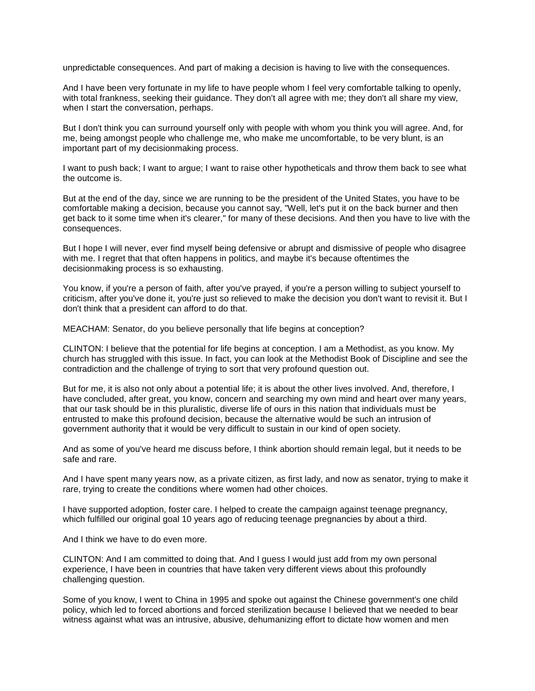unpredictable consequences. And part of making a decision is having to live with the consequences.

And I have been very fortunate in my life to have people whom I feel very comfortable talking to openly, with total frankness, seeking their guidance. They don't all agree with me; they don't all share my view, when I start the conversation, perhaps.

But I don't think you can surround yourself only with people with whom you think you will agree. And, for me, being amongst people who challenge me, who make me uncomfortable, to be very blunt, is an important part of my decisionmaking process.

I want to push back; I want to argue; I want to raise other hypotheticals and throw them back to see what the outcome is.

But at the end of the day, since we are running to be the president of the United States, you have to be comfortable making a decision, because you cannot say, "Well, let's put it on the back burner and then get back to it some time when it's clearer," for many of these decisions. And then you have to live with the consequences.

But I hope I will never, ever find myself being defensive or abrupt and dismissive of people who disagree with me. I regret that that often happens in politics, and maybe it's because oftentimes the decisionmaking process is so exhausting.

You know, if you're a person of faith, after you've prayed, if you're a person willing to subject yourself to criticism, after you've done it, you're just so relieved to make the decision you don't want to revisit it. But I don't think that a president can afford to do that.

MEACHAM: Senator, do you believe personally that life begins at conception?

CLINTON: I believe that the potential for life begins at conception. I am a Methodist, as you know. My church has struggled with this issue. In fact, you can look at the Methodist Book of Discipline and see the contradiction and the challenge of trying to sort that very profound question out.

But for me, it is also not only about a potential life; it is about the other lives involved. And, therefore, I have concluded, after great, you know, concern and searching my own mind and heart over many years, that our task should be in this pluralistic, diverse life of ours in this nation that individuals must be entrusted to make this profound decision, because the alternative would be such an intrusion of government authority that it would be very difficult to sustain in our kind of open society.

And as some of you've heard me discuss before, I think abortion should remain legal, but it needs to be safe and rare.

And I have spent many years now, as a private citizen, as first lady, and now as senator, trying to make it rare, trying to create the conditions where women had other choices.

I have supported adoption, foster care. I helped to create the campaign against teenage pregnancy, which fulfilled our original goal 10 years ago of reducing teenage pregnancies by about a third.

And I think we have to do even more.

CLINTON: And I am committed to doing that. And I guess I would just add from my own personal experience, I have been in countries that have taken very different views about this profoundly challenging question.

Some of you know, I went to China in 1995 and spoke out against the Chinese government's one child policy, which led to forced abortions and forced sterilization because I believed that we needed to bear witness against what was an intrusive, abusive, dehumanizing effort to dictate how women and men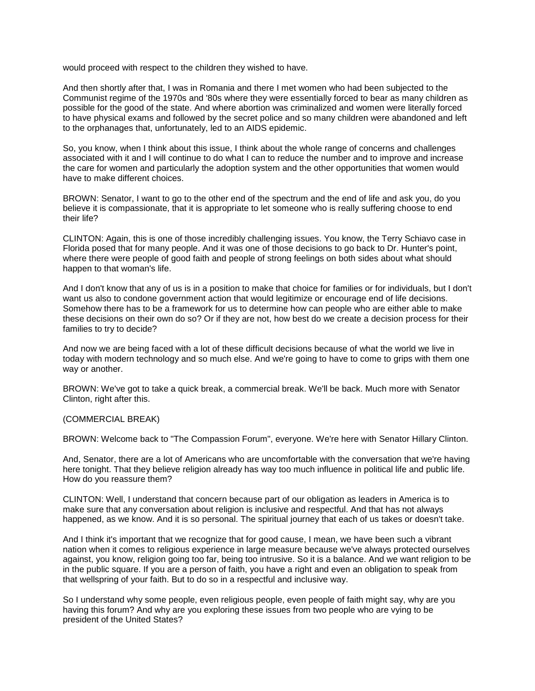would proceed with respect to the children they wished to have.

And then shortly after that, I was in Romania and there I met women who had been subjected to the Communist regime of the 1970s and '80s where they were essentially forced to bear as many children as possible for the good of the state. And where abortion was criminalized and women were literally forced to have physical exams and followed by the secret police and so many children were abandoned and left to the orphanages that, unfortunately, led to an AIDS epidemic.

So, you know, when I think about this issue, I think about the whole range of concerns and challenges associated with it and I will continue to do what I can to reduce the number and to improve and increase the care for women and particularly the adoption system and the other opportunities that women would have to make different choices.

BROWN: Senator, I want to go to the other end of the spectrum and the end of life and ask you, do you believe it is compassionate, that it is appropriate to let someone who is really suffering choose to end their life?

CLINTON: Again, this is one of those incredibly challenging issues. You know, the Terry Schiavo case in Florida posed that for many people. And it was one of those decisions to go back to Dr. Hunter's point, where there were people of good faith and people of strong feelings on both sides about what should happen to that woman's life.

And I don't know that any of us is in a position to make that choice for families or for individuals, but I don't want us also to condone government action that would legitimize or encourage end of life decisions. Somehow there has to be a framework for us to determine how can people who are either able to make these decisions on their own do so? Or if they are not, how best do we create a decision process for their families to try to decide?

And now we are being faced with a lot of these difficult decisions because of what the world we live in today with modern technology and so much else. And we're going to have to come to grips with them one way or another.

BROWN: We've got to take a quick break, a commercial break. We'll be back. Much more with Senator Clinton, right after this.

### (COMMERCIAL BREAK)

BROWN: Welcome back to "The Compassion Forum", everyone. We're here with Senator Hillary Clinton.

And, Senator, there are a lot of Americans who are uncomfortable with the conversation that we're having here tonight. That they believe religion already has way too much influence in political life and public life. How do you reassure them?

CLINTON: Well, I understand that concern because part of our obligation as leaders in America is to make sure that any conversation about religion is inclusive and respectful. And that has not always happened, as we know. And it is so personal. The spiritual journey that each of us takes or doesn't take.

And I think it's important that we recognize that for good cause, I mean, we have been such a vibrant nation when it comes to religious experience in large measure because we've always protected ourselves against, you know, religion going too far, being too intrusive. So it is a balance. And we want religion to be in the public square. If you are a person of faith, you have a right and even an obligation to speak from that wellspring of your faith. But to do so in a respectful and inclusive way.

So I understand why some people, even religious people, even people of faith might say, why are you having this forum? And why are you exploring these issues from two people who are vying to be president of the United States?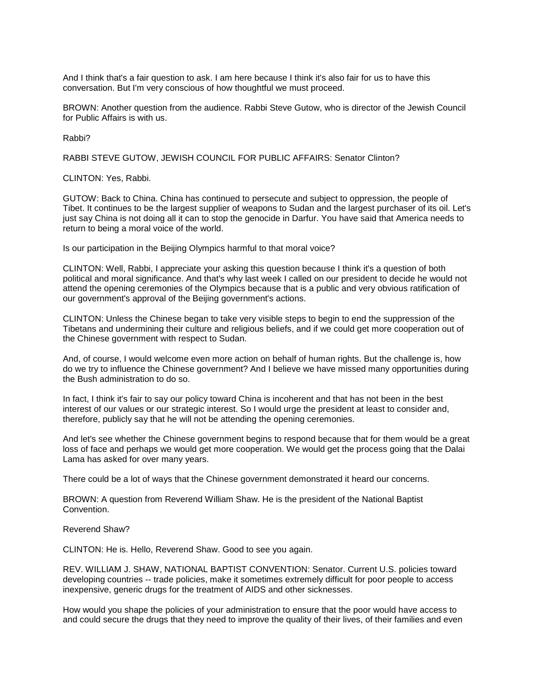And I think that's a fair question to ask. I am here because I think it's also fair for us to have this conversation. But I'm very conscious of how thoughtful we must proceed.

BROWN: Another question from the audience. Rabbi Steve Gutow, who is director of the Jewish Council for Public Affairs is with us.

Rabbi?

RABBI STEVE GUTOW, JEWISH COUNCIL FOR PUBLIC AFFAIRS: Senator Clinton?

CLINTON: Yes, Rabbi.

GUTOW: Back to China. China has continued to persecute and subject to oppression, the people of Tibet. It continues to be the largest supplier of weapons to Sudan and the largest purchaser of its oil. Let's just say China is not doing all it can to stop the genocide in Darfur. You have said that America needs to return to being a moral voice of the world.

Is our participation in the Beijing Olympics harmful to that moral voice?

CLINTON: Well, Rabbi, I appreciate your asking this question because I think it's a question of both political and moral significance. And that's why last week I called on our president to decide he would not attend the opening ceremonies of the Olympics because that is a public and very obvious ratification of our government's approval of the Beijing government's actions.

CLINTON: Unless the Chinese began to take very visible steps to begin to end the suppression of the Tibetans and undermining their culture and religious beliefs, and if we could get more cooperation out of the Chinese government with respect to Sudan.

And, of course, I would welcome even more action on behalf of human rights. But the challenge is, how do we try to influence the Chinese government? And I believe we have missed many opportunities during the Bush administration to do so.

In fact, I think it's fair to say our policy toward China is incoherent and that has not been in the best interest of our values or our strategic interest. So I would urge the president at least to consider and, therefore, publicly say that he will not be attending the opening ceremonies.

And let's see whether the Chinese government begins to respond because that for them would be a great loss of face and perhaps we would get more cooperation. We would get the process going that the Dalai Lama has asked for over many years.

There could be a lot of ways that the Chinese government demonstrated it heard our concerns.

BROWN: A question from Reverend William Shaw. He is the president of the National Baptist Convention.

Reverend Shaw?

CLINTON: He is. Hello, Reverend Shaw. Good to see you again.

REV. WILLIAM J. SHAW, NATIONAL BAPTIST CONVENTION: Senator. Current U.S. policies toward developing countries -- trade policies, make it sometimes extremely difficult for poor people to access inexpensive, generic drugs for the treatment of AIDS and other sicknesses.

How would you shape the policies of your administration to ensure that the poor would have access to and could secure the drugs that they need to improve the quality of their lives, of their families and even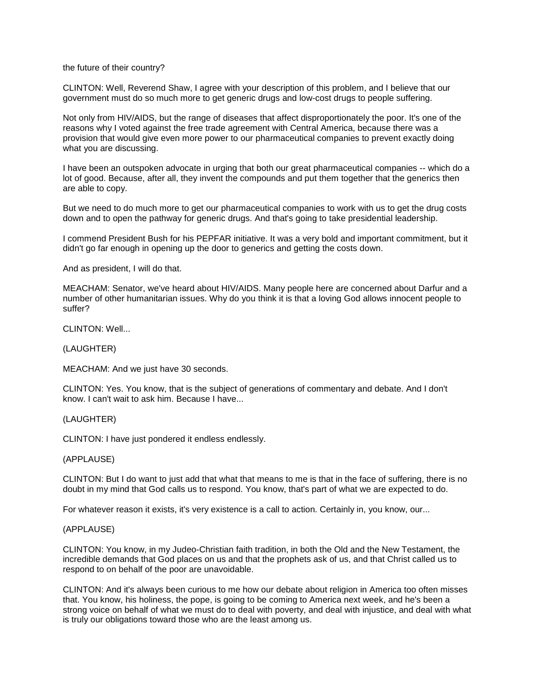# the future of their country?

CLINTON: Well, Reverend Shaw, I agree with your description of this problem, and I believe that our government must do so much more to get generic drugs and low-cost drugs to people suffering.

Not only from HIV/AIDS, but the range of diseases that affect disproportionately the poor. It's one of the reasons why I voted against the free trade agreement with Central America, because there was a provision that would give even more power to our pharmaceutical companies to prevent exactly doing what you are discussing.

I have been an outspoken advocate in urging that both our great pharmaceutical companies -- which do a lot of good. Because, after all, they invent the compounds and put them together that the generics then are able to copy.

But we need to do much more to get our pharmaceutical companies to work with us to get the drug costs down and to open the pathway for generic drugs. And that's going to take presidential leadership.

I commend President Bush for his PEPFAR initiative. It was a very bold and important commitment, but it didn't go far enough in opening up the door to generics and getting the costs down.

And as president, I will do that.

MEACHAM: Senator, we've heard about HIV/AIDS. Many people here are concerned about Darfur and a number of other humanitarian issues. Why do you think it is that a loving God allows innocent people to suffer?

CLINTON: Well...

# (LAUGHTER)

MEACHAM: And we just have 30 seconds.

CLINTON: Yes. You know, that is the subject of generations of commentary and debate. And I don't know. I can't wait to ask him. Because I have...

### (LAUGHTER)

CLINTON: I have just pondered it endless endlessly.

### (APPLAUSE)

CLINTON: But I do want to just add that what that means to me is that in the face of suffering, there is no doubt in my mind that God calls us to respond. You know, that's part of what we are expected to do.

For whatever reason it exists, it's very existence is a call to action. Certainly in, you know, our...

### (APPLAUSE)

CLINTON: You know, in my Judeo-Christian faith tradition, in both the Old and the New Testament, the incredible demands that God places on us and that the prophets ask of us, and that Christ called us to respond to on behalf of the poor are unavoidable.

CLINTON: And it's always been curious to me how our debate about religion in America too often misses that. You know, his holiness, the pope, is going to be coming to America next week, and he's been a strong voice on behalf of what we must do to deal with poverty, and deal with injustice, and deal with what is truly our obligations toward those who are the least among us.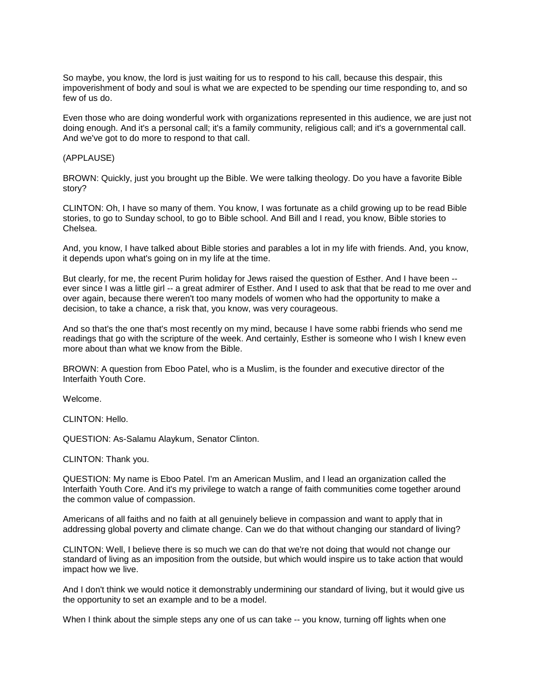So maybe, you know, the lord is just waiting for us to respond to his call, because this despair, this impoverishment of body and soul is what we are expected to be spending our time responding to, and so few of us do.

Even those who are doing wonderful work with organizations represented in this audience, we are just not doing enough. And it's a personal call; it's a family community, religious call; and it's a governmental call. And we've got to do more to respond to that call.

# (APPLAUSE)

BROWN: Quickly, just you brought up the Bible. We were talking theology. Do you have a favorite Bible story?

CLINTON: Oh, I have so many of them. You know, I was fortunate as a child growing up to be read Bible stories, to go to Sunday school, to go to Bible school. And Bill and I read, you know, Bible stories to Chelsea.

And, you know, I have talked about Bible stories and parables a lot in my life with friends. And, you know, it depends upon what's going on in my life at the time.

But clearly, for me, the recent Purim holiday for Jews raised the question of Esther. And I have been - ever since I was a little girl -- a great admirer of Esther. And I used to ask that that be read to me over and over again, because there weren't too many models of women who had the opportunity to make a decision, to take a chance, a risk that, you know, was very courageous.

And so that's the one that's most recently on my mind, because I have some rabbi friends who send me readings that go with the scripture of the week. And certainly, Esther is someone who I wish I knew even more about than what we know from the Bible.

BROWN: A question from Eboo Patel, who is a Muslim, is the founder and executive director of the Interfaith Youth Core.

Welcome.

CLINTON: Hello.

QUESTION: As-Salamu Alaykum, Senator Clinton.

CLINTON: Thank you.

QUESTION: My name is Eboo Patel. I'm an American Muslim, and I lead an organization called the Interfaith Youth Core. And it's my privilege to watch a range of faith communities come together around the common value of compassion.

Americans of all faiths and no faith at all genuinely believe in compassion and want to apply that in addressing global poverty and climate change. Can we do that without changing our standard of living?

CLINTON: Well, I believe there is so much we can do that we're not doing that would not change our standard of living as an imposition from the outside, but which would inspire us to take action that would impact how we live.

And I don't think we would notice it demonstrably undermining our standard of living, but it would give us the opportunity to set an example and to be a model.

When I think about the simple steps any one of us can take -- you know, turning off lights when one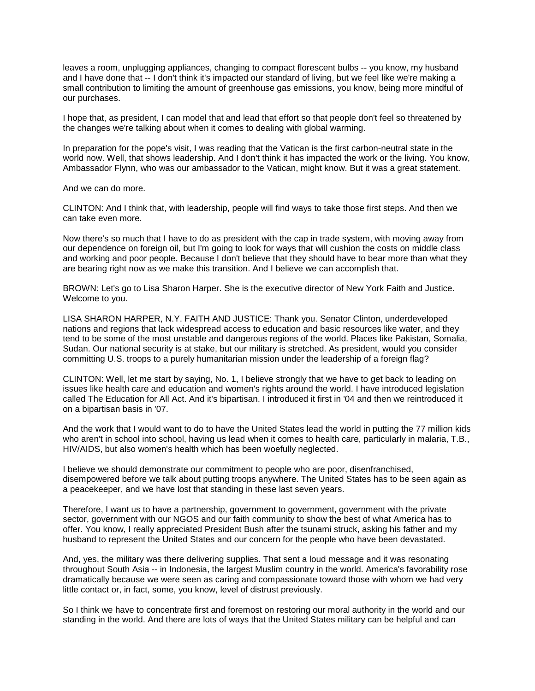leaves a room, unplugging appliances, changing to compact florescent bulbs -- you know, my husband and I have done that -- I don't think it's impacted our standard of living, but we feel like we're making a small contribution to limiting the amount of greenhouse gas emissions, you know, being more mindful of our purchases.

I hope that, as president, I can model that and lead that effort so that people don't feel so threatened by the changes we're talking about when it comes to dealing with global warming.

In preparation for the pope's visit, I was reading that the Vatican is the first carbon-neutral state in the world now. Well, that shows leadership. And I don't think it has impacted the work or the living. You know, Ambassador Flynn, who was our ambassador to the Vatican, might know. But it was a great statement.

And we can do more.

CLINTON: And I think that, with leadership, people will find ways to take those first steps. And then we can take even more.

Now there's so much that I have to do as president with the cap in trade system, with moving away from our dependence on foreign oil, but I'm going to look for ways that will cushion the costs on middle class and working and poor people. Because I don't believe that they should have to bear more than what they are bearing right now as we make this transition. And I believe we can accomplish that.

BROWN: Let's go to Lisa Sharon Harper. She is the executive director of New York Faith and Justice. Welcome to you.

LISA SHARON HARPER, N.Y. FAITH AND JUSTICE: Thank you. Senator Clinton, underdeveloped nations and regions that lack widespread access to education and basic resources like water, and they tend to be some of the most unstable and dangerous regions of the world. Places like Pakistan, Somalia, Sudan. Our national security is at stake, but our military is stretched. As president, would you consider committing U.S. troops to a purely humanitarian mission under the leadership of a foreign flag?

CLINTON: Well, let me start by saying, No. 1, I believe strongly that we have to get back to leading on issues like health care and education and women's rights around the world. I have introduced legislation called The Education for All Act. And it's bipartisan. I introduced it first in '04 and then we reintroduced it on a bipartisan basis in '07.

And the work that I would want to do to have the United States lead the world in putting the 77 million kids who aren't in school into school, having us lead when it comes to health care, particularly in malaria, T.B., HIV/AIDS, but also women's health which has been woefully neglected.

I believe we should demonstrate our commitment to people who are poor, disenfranchised, disempowered before we talk about putting troops anywhere. The United States has to be seen again as a peacekeeper, and we have lost that standing in these last seven years.

Therefore, I want us to have a partnership, government to government, government with the private sector, government with our NGOS and our faith community to show the best of what America has to offer. You know, I really appreciated President Bush after the tsunami struck, asking his father and my husband to represent the United States and our concern for the people who have been devastated.

And, yes, the military was there delivering supplies. That sent a loud message and it was resonating throughout South Asia -- in Indonesia, the largest Muslim country in the world. America's favorability rose dramatically because we were seen as caring and compassionate toward those with whom we had very little contact or, in fact, some, you know, level of distrust previously.

So I think we have to concentrate first and foremost on restoring our moral authority in the world and our standing in the world. And there are lots of ways that the United States military can be helpful and can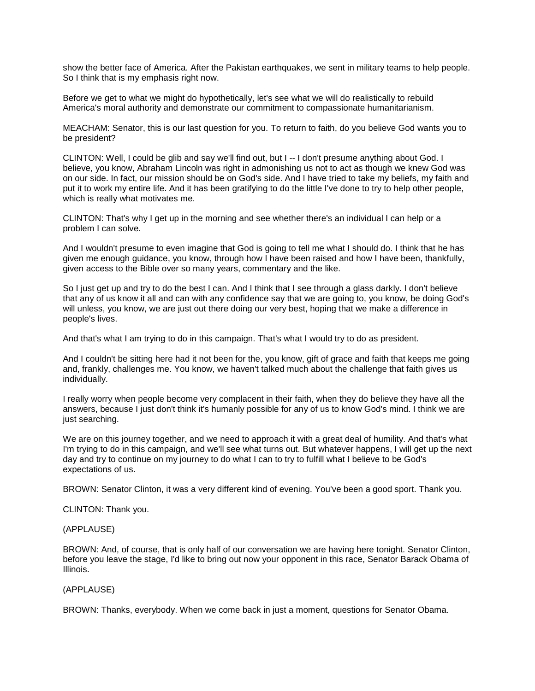show the better face of America. After the Pakistan earthquakes, we sent in military teams to help people. So I think that is my emphasis right now.

Before we get to what we might do hypothetically, let's see what we will do realistically to rebuild America's moral authority and demonstrate our commitment to compassionate humanitarianism.

MEACHAM: Senator, this is our last question for you. To return to faith, do you believe God wants you to be president?

CLINTON: Well, I could be glib and say we'll find out, but I -- I don't presume anything about God. I believe, you know, Abraham Lincoln was right in admonishing us not to act as though we knew God was on our side. In fact, our mission should be on God's side. And I have tried to take my beliefs, my faith and put it to work my entire life. And it has been gratifying to do the little I've done to try to help other people, which is really what motivates me.

CLINTON: That's why I get up in the morning and see whether there's an individual I can help or a problem I can solve.

And I wouldn't presume to even imagine that God is going to tell me what I should do. I think that he has given me enough guidance, you know, through how I have been raised and how I have been, thankfully, given access to the Bible over so many years, commentary and the like.

So I just get up and try to do the best I can. And I think that I see through a glass darkly. I don't believe that any of us know it all and can with any confidence say that we are going to, you know, be doing God's will unless, you know, we are just out there doing our very best, hoping that we make a difference in people's lives.

And that's what I am trying to do in this campaign. That's what I would try to do as president.

And I couldn't be sitting here had it not been for the, you know, gift of grace and faith that keeps me going and, frankly, challenges me. You know, we haven't talked much about the challenge that faith gives us individually.

I really worry when people become very complacent in their faith, when they do believe they have all the answers, because I just don't think it's humanly possible for any of us to know God's mind. I think we are just searching.

We are on this journey together, and we need to approach it with a great deal of humility. And that's what I'm trying to do in this campaign, and we'll see what turns out. But whatever happens, I will get up the next day and try to continue on my journey to do what I can to try to fulfill what I believe to be God's expectations of us.

BROWN: Senator Clinton, it was a very different kind of evening. You've been a good sport. Thank you.

CLINTON: Thank you.

### (APPLAUSE)

BROWN: And, of course, that is only half of our conversation we are having here tonight. Senator Clinton, before you leave the stage, I'd like to bring out now your opponent in this race, Senator Barack Obama of Illinois.

# (APPLAUSE)

BROWN: Thanks, everybody. When we come back in just a moment, questions for Senator Obama.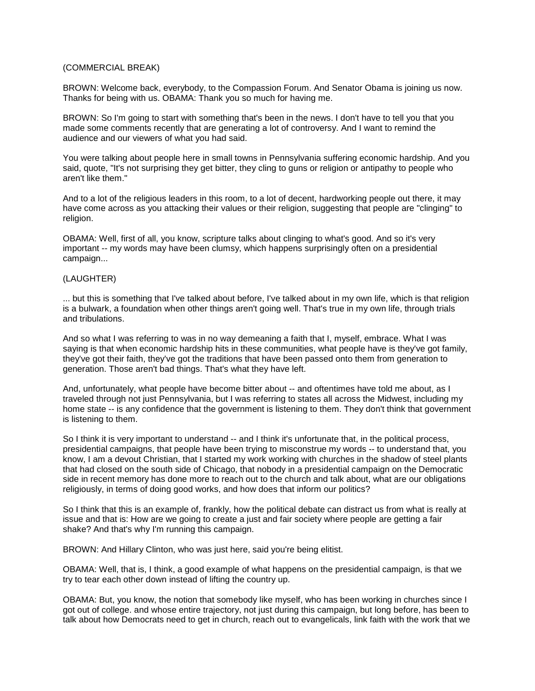# (COMMERCIAL BREAK)

BROWN: Welcome back, everybody, to the Compassion Forum. And Senator Obama is joining us now. Thanks for being with us. OBAMA: Thank you so much for having me.

BROWN: So I'm going to start with something that's been in the news. I don't have to tell you that you made some comments recently that are generating a lot of controversy. And I want to remind the audience and our viewers of what you had said.

You were talking about people here in small towns in Pennsylvania suffering economic hardship. And you said, quote, "It's not surprising they get bitter, they cling to guns or religion or antipathy to people who aren't like them."

And to a lot of the religious leaders in this room, to a lot of decent, hardworking people out there, it may have come across as you attacking their values or their religion, suggesting that people are "clinging" to religion.

OBAMA: Well, first of all, you know, scripture talks about clinging to what's good. And so it's very important -- my words may have been clumsy, which happens surprisingly often on a presidential campaign...

# (LAUGHTER)

... but this is something that I've talked about before, I've talked about in my own life, which is that religion is a bulwark, a foundation when other things aren't going well. That's true in my own life, through trials and tribulations.

And so what I was referring to was in no way demeaning a faith that I, myself, embrace. What I was saying is that when economic hardship hits in these communities, what people have is they've got family, they've got their faith, they've got the traditions that have been passed onto them from generation to generation. Those aren't bad things. That's what they have left.

And, unfortunately, what people have become bitter about -- and oftentimes have told me about, as I traveled through not just Pennsylvania, but I was referring to states all across the Midwest, including my home state -- is any confidence that the government is listening to them. They don't think that government is listening to them.

So I think it is very important to understand -- and I think it's unfortunate that, in the political process, presidential campaigns, that people have been trying to misconstrue my words -- to understand that, you know, I am a devout Christian, that I started my work working with churches in the shadow of steel plants that had closed on the south side of Chicago, that nobody in a presidential campaign on the Democratic side in recent memory has done more to reach out to the church and talk about, what are our obligations religiously, in terms of doing good works, and how does that inform our politics?

So I think that this is an example of, frankly, how the political debate can distract us from what is really at issue and that is: How are we going to create a just and fair society where people are getting a fair shake? And that's why I'm running this campaign.

BROWN: And Hillary Clinton, who was just here, said you're being elitist.

OBAMA: Well, that is, I think, a good example of what happens on the presidential campaign, is that we try to tear each other down instead of lifting the country up.

OBAMA: But, you know, the notion that somebody like myself, who has been working in churches since I got out of college. and whose entire trajectory, not just during this campaign, but long before, has been to talk about how Democrats need to get in church, reach out to evangelicals, link faith with the work that we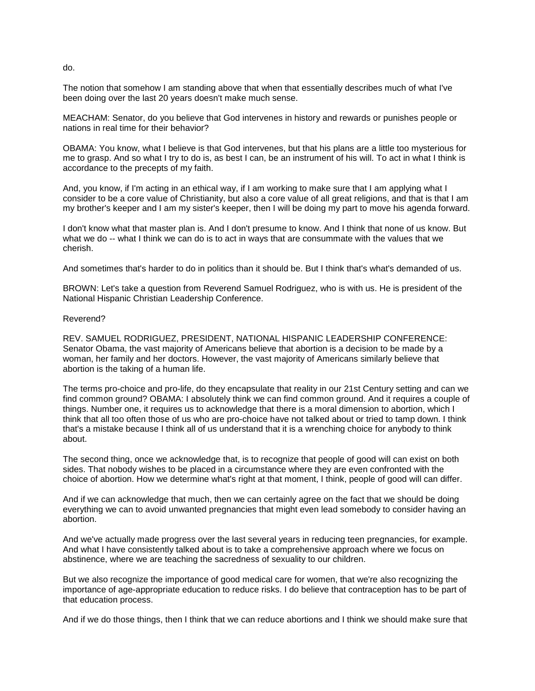do.

The notion that somehow I am standing above that when that essentially describes much of what I've been doing over the last 20 years doesn't make much sense.

MEACHAM: Senator, do you believe that God intervenes in history and rewards or punishes people or nations in real time for their behavior?

OBAMA: You know, what I believe is that God intervenes, but that his plans are a little too mysterious for me to grasp. And so what I try to do is, as best I can, be an instrument of his will. To act in what I think is accordance to the precepts of my faith.

And, you know, if I'm acting in an ethical way, if I am working to make sure that I am applying what I consider to be a core value of Christianity, but also a core value of all great religions, and that is that I am my brother's keeper and I am my sister's keeper, then I will be doing my part to move his agenda forward.

I don't know what that master plan is. And I don't presume to know. And I think that none of us know. But what we do -- what I think we can do is to act in ways that are consummate with the values that we cherish.

And sometimes that's harder to do in politics than it should be. But I think that's what's demanded of us.

BROWN: Let's take a question from Reverend Samuel Rodriguez, who is with us. He is president of the National Hispanic Christian Leadership Conference.

# Reverend?

REV. SAMUEL RODRIGUEZ, PRESIDENT, NATIONAL HISPANIC LEADERSHIP CONFERENCE: Senator Obama, the vast majority of Americans believe that abortion is a decision to be made by a woman, her family and her doctors. However, the vast majority of Americans similarly believe that abortion is the taking of a human life.

The terms pro-choice and pro-life, do they encapsulate that reality in our 21st Century setting and can we find common ground? OBAMA: I absolutely think we can find common ground. And it requires a couple of things. Number one, it requires us to acknowledge that there is a moral dimension to abortion, which I think that all too often those of us who are pro-choice have not talked about or tried to tamp down. I think that's a mistake because I think all of us understand that it is a wrenching choice for anybody to think about.

The second thing, once we acknowledge that, is to recognize that people of good will can exist on both sides. That nobody wishes to be placed in a circumstance where they are even confronted with the choice of abortion. How we determine what's right at that moment, I think, people of good will can differ.

And if we can acknowledge that much, then we can certainly agree on the fact that we should be doing everything we can to avoid unwanted pregnancies that might even lead somebody to consider having an abortion.

And we've actually made progress over the last several years in reducing teen pregnancies, for example. And what I have consistently talked about is to take a comprehensive approach where we focus on abstinence, where we are teaching the sacredness of sexuality to our children.

But we also recognize the importance of good medical care for women, that we're also recognizing the importance of age-appropriate education to reduce risks. I do believe that contraception has to be part of that education process.

And if we do those things, then I think that we can reduce abortions and I think we should make sure that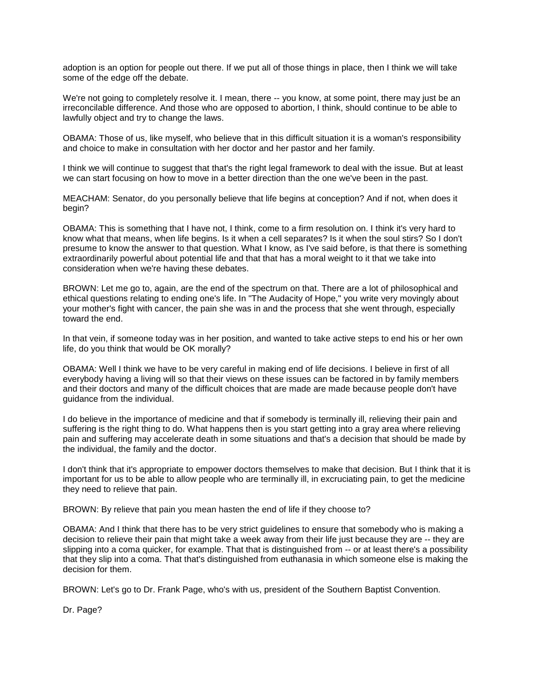adoption is an option for people out there. If we put all of those things in place, then I think we will take some of the edge off the debate.

We're not going to completely resolve it. I mean, there -- you know, at some point, there may just be an irreconcilable difference. And those who are opposed to abortion, I think, should continue to be able to lawfully object and try to change the laws.

OBAMA: Those of us, like myself, who believe that in this difficult situation it is a woman's responsibility and choice to make in consultation with her doctor and her pastor and her family.

I think we will continue to suggest that that's the right legal framework to deal with the issue. But at least we can start focusing on how to move in a better direction than the one we've been in the past.

MEACHAM: Senator, do you personally believe that life begins at conception? And if not, when does it begin?

OBAMA: This is something that I have not, I think, come to a firm resolution on. I think it's very hard to know what that means, when life begins. Is it when a cell separates? Is it when the soul stirs? So I don't presume to know the answer to that question. What I know, as I've said before, is that there is something extraordinarily powerful about potential life and that that has a moral weight to it that we take into consideration when we're having these debates.

BROWN: Let me go to, again, are the end of the spectrum on that. There are a lot of philosophical and ethical questions relating to ending one's life. In "The Audacity of Hope," you write very movingly about your mother's fight with cancer, the pain she was in and the process that she went through, especially toward the end.

In that vein, if someone today was in her position, and wanted to take active steps to end his or her own life, do you think that would be OK morally?

OBAMA: Well I think we have to be very careful in making end of life decisions. I believe in first of all everybody having a living will so that their views on these issues can be factored in by family members and their doctors and many of the difficult choices that are made are made because people don't have guidance from the individual.

I do believe in the importance of medicine and that if somebody is terminally ill, relieving their pain and suffering is the right thing to do. What happens then is you start getting into a gray area where relieving pain and suffering may accelerate death in some situations and that's a decision that should be made by the individual, the family and the doctor.

I don't think that it's appropriate to empower doctors themselves to make that decision. But I think that it is important for us to be able to allow people who are terminally ill, in excruciating pain, to get the medicine they need to relieve that pain.

BROWN: By relieve that pain you mean hasten the end of life if they choose to?

OBAMA: And I think that there has to be very strict guidelines to ensure that somebody who is making a decision to relieve their pain that might take a week away from their life just because they are -- they are slipping into a coma quicker, for example. That that is distinguished from -- or at least there's a possibility that they slip into a coma. That that's distinguished from euthanasia in which someone else is making the decision for them.

BROWN: Let's go to Dr. Frank Page, who's with us, president of the Southern Baptist Convention.

Dr. Page?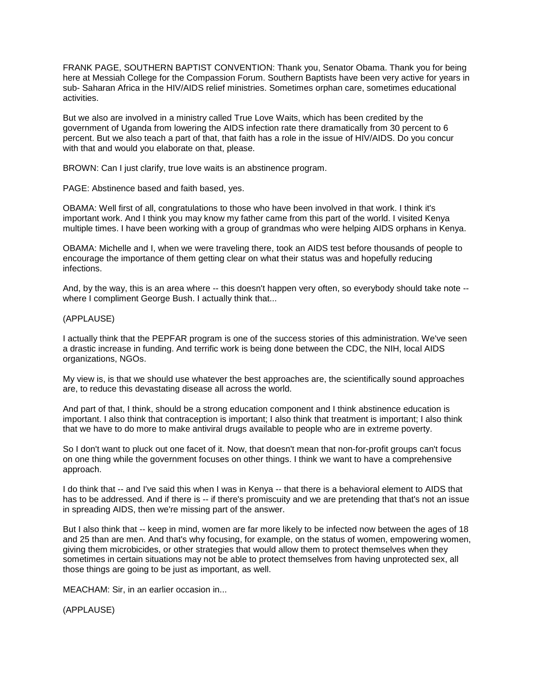FRANK PAGE, SOUTHERN BAPTIST CONVENTION: Thank you, Senator Obama. Thank you for being here at Messiah College for the Compassion Forum. Southern Baptists have been very active for years in sub- Saharan Africa in the HIV/AIDS relief ministries. Sometimes orphan care, sometimes educational activities.

But we also are involved in a ministry called True Love Waits, which has been credited by the government of Uganda from lowering the AIDS infection rate there dramatically from 30 percent to 6 percent. But we also teach a part of that, that faith has a role in the issue of HIV/AIDS. Do you concur with that and would you elaborate on that, please.

BROWN: Can I just clarify, true love waits is an abstinence program.

PAGE: Abstinence based and faith based, yes.

OBAMA: Well first of all, congratulations to those who have been involved in that work. I think it's important work. And I think you may know my father came from this part of the world. I visited Kenya multiple times. I have been working with a group of grandmas who were helping AIDS orphans in Kenya.

OBAMA: Michelle and I, when we were traveling there, took an AIDS test before thousands of people to encourage the importance of them getting clear on what their status was and hopefully reducing infections.

And, by the way, this is an area where -- this doesn't happen very often, so everybody should take note - where I compliment George Bush. I actually think that...

# (APPLAUSE)

I actually think that the PEPFAR program is one of the success stories of this administration. We've seen a drastic increase in funding. And terrific work is being done between the CDC, the NIH, local AIDS organizations, NGOs.

My view is, is that we should use whatever the best approaches are, the scientifically sound approaches are, to reduce this devastating disease all across the world.

And part of that, I think, should be a strong education component and I think abstinence education is important. I also think that contraception is important; I also think that treatment is important; I also think that we have to do more to make antiviral drugs available to people who are in extreme poverty.

So I don't want to pluck out one facet of it. Now, that doesn't mean that non-for-profit groups can't focus on one thing while the government focuses on other things. I think we want to have a comprehensive approach.

I do think that -- and I've said this when I was in Kenya -- that there is a behavioral element to AIDS that has to be addressed. And if there is -- if there's promiscuity and we are pretending that that's not an issue in spreading AIDS, then we're missing part of the answer.

But I also think that -- keep in mind, women are far more likely to be infected now between the ages of 18 and 25 than are men. And that's why focusing, for example, on the status of women, empowering women, giving them microbicides, or other strategies that would allow them to protect themselves when they sometimes in certain situations may not be able to protect themselves from having unprotected sex, all those things are going to be just as important, as well.

MEACHAM: Sir, in an earlier occasion in...

(APPLAUSE)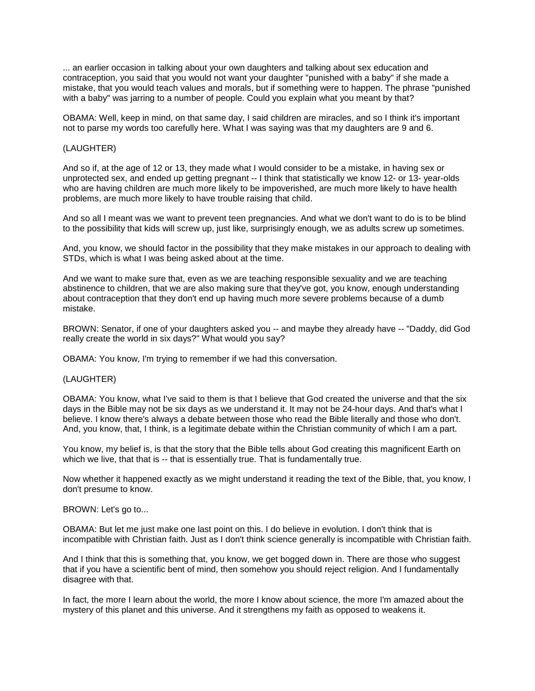... an earlier occasion in talking about your own daughters and talking about sex education and contraception, you said that you would not want your daughter "punished with a baby" if she made a mistake, that you would teach values and morals, but if something were to happen. The phrase "punished with a baby" was jarring to a number of people. Could you explain what you meant by that?

OBAMA: Well, keep in mind, on that same day, I said children are miracles, and so I think it's important not to parse my words too carefully here. What I was saying was that my daughters are 9 and 6.

# (LAUGHTER)

And so if, at the age of 12 or 13, they made what I would consider to be a mistake, in having sex or unprotected sex, and ended up getting pregnant -- I think that statistically we know 12- or 13- year-olds who are having children are much more likely to be impoverished, are much more likely to have health problems, are much more likely to have trouble raising that child.

And so all I meant was we want to prevent teen pregnancies. And what we don't want to do is to be blind to the possibility that kids will screw up, just like, surprisingly enough, we as adults screw up sometimes.

And, you know, we should factor in the possibility that they make mistakes in our approach to dealing with STDs, which is what I was being asked about at the time.

And we want to make sure that, even as we are teaching responsible sexuality and we are teaching abstinence to children, that we are also making sure that they've got, you know, enough understanding about contraception that they don't end up having much more severe problems because of a dumb mistake.

BROWN: Senator, if one of your daughters asked you -- and maybe they already have -- "Daddy, did God really create the world in six days?" What would you say?

OBAMA: You know, I'm trying to remember if we had this conversation.

# (LAUGHTER)

OBAMA: You know, what I've said to them is that I believe that God created the universe and that the six days in the Bible may not be six days as we understand it. It may not be 24-hour days. And that's what I believe. I know there's always a debate between those who read the Bible literally and those who don't. And, you know, that, I think, is a legitimate debate within the Christian community of which I am a part.

You know, my belief is, is that the story that the Bible tells about God creating this magnificent Earth on which we live, that that is -- that is essentially true. That is fundamentally true.

Now whether it happened exactly as we might understand it reading the text of the Bible, that, you know, I don't presume to know.

### BROWN: Let's go to...

OBAMA: But let me just make one last point on this. I do believe in evolution. I don't think that is incompatible with Christian faith. Just as I don't think science generally is incompatible with Christian faith.

And I think that this is something that, you know, we get bogged down in. There are those who suggest that if you have a scientific bent of mind, then somehow you should reject religion. And I fundamentally disagree with that.

In fact, the more I learn about the world, the more I know about science, the more I'm amazed about the mystery of this planet and this universe. And it strengthens my faith as opposed to weakens it.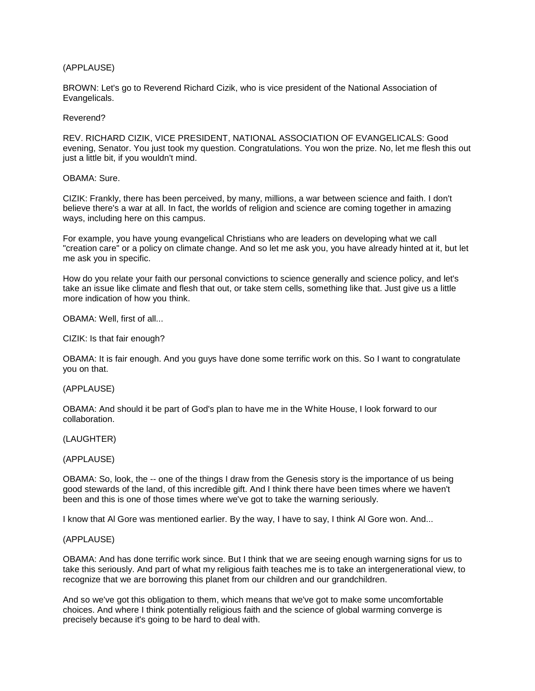# (APPLAUSE)

BROWN: Let's go to Reverend Richard Cizik, who is vice president of the National Association of Evangelicals.

### Reverend?

REV. RICHARD CIZIK, VICE PRESIDENT, NATIONAL ASSOCIATION OF EVANGELICALS: Good evening, Senator. You just took my question. Congratulations. You won the prize. No, let me flesh this out just a little bit, if you wouldn't mind.

# OBAMA: Sure.

CIZIK: Frankly, there has been perceived, by many, millions, a war between science and faith. I don't believe there's a war at all. In fact, the worlds of religion and science are coming together in amazing ways, including here on this campus.

For example, you have young evangelical Christians who are leaders on developing what we call "creation care" or a policy on climate change. And so let me ask you, you have already hinted at it, but let me ask you in specific.

How do you relate your faith our personal convictions to science generally and science policy, and let's take an issue like climate and flesh that out, or take stem cells, something like that. Just give us a little more indication of how you think.

OBAMA: Well, first of all...

CIZIK: Is that fair enough?

OBAMA: It is fair enough. And you guys have done some terrific work on this. So I want to congratulate you on that.

### (APPLAUSE)

OBAMA: And should it be part of God's plan to have me in the White House, I look forward to our collaboration.

#### (LAUGHTER)

### (APPLAUSE)

OBAMA: So, look, the -- one of the things I draw from the Genesis story is the importance of us being good stewards of the land, of this incredible gift. And I think there have been times where we haven't been and this is one of those times where we've got to take the warning seriously.

I know that Al Gore was mentioned earlier. By the way, I have to say, I think Al Gore won. And...

### (APPLAUSE)

OBAMA: And has done terrific work since. But I think that we are seeing enough warning signs for us to take this seriously. And part of what my religious faith teaches me is to take an intergenerational view, to recognize that we are borrowing this planet from our children and our grandchildren.

And so we've got this obligation to them, which means that we've got to make some uncomfortable choices. And where I think potentially religious faith and the science of global warming converge is precisely because it's going to be hard to deal with.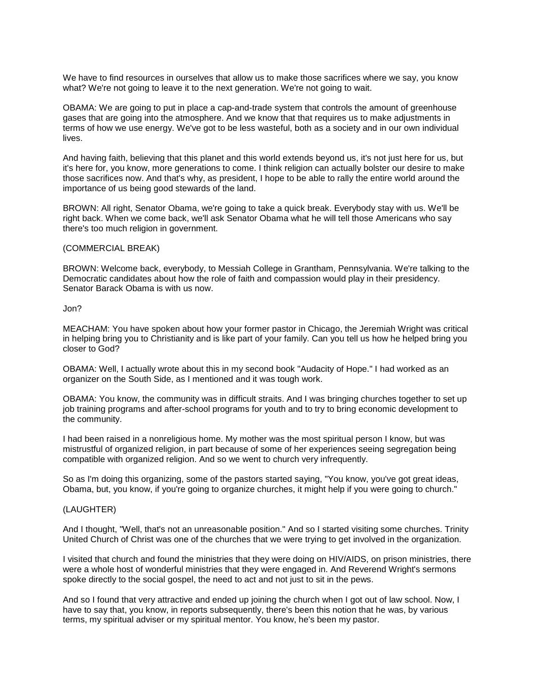We have to find resources in ourselves that allow us to make those sacrifices where we say, you know what? We're not going to leave it to the next generation. We're not going to wait.

OBAMA: We are going to put in place a cap-and-trade system that controls the amount of greenhouse gases that are going into the atmosphere. And we know that that requires us to make adjustments in terms of how we use energy. We've got to be less wasteful, both as a society and in our own individual lives.

And having faith, believing that this planet and this world extends beyond us, it's not just here for us, but it's here for, you know, more generations to come. I think religion can actually bolster our desire to make those sacrifices now. And that's why, as president, I hope to be able to rally the entire world around the importance of us being good stewards of the land.

BROWN: All right, Senator Obama, we're going to take a quick break. Everybody stay with us. We'll be right back. When we come back, we'll ask Senator Obama what he will tell those Americans who say there's too much religion in government.

### (COMMERCIAL BREAK)

BROWN: Welcome back, everybody, to Messiah College in Grantham, Pennsylvania. We're talking to the Democratic candidates about how the role of faith and compassion would play in their presidency. Senator Barack Obama is with us now.

### Jon?

MEACHAM: You have spoken about how your former pastor in Chicago, the Jeremiah Wright was critical in helping bring you to Christianity and is like part of your family. Can you tell us how he helped bring you closer to God?

OBAMA: Well, I actually wrote about this in my second book "Audacity of Hope." I had worked as an organizer on the South Side, as I mentioned and it was tough work.

OBAMA: You know, the community was in difficult straits. And I was bringing churches together to set up job training programs and after-school programs for youth and to try to bring economic development to the community.

I had been raised in a nonreligious home. My mother was the most spiritual person I know, but was mistrustful of organized religion, in part because of some of her experiences seeing segregation being compatible with organized religion. And so we went to church very infrequently.

So as I'm doing this organizing, some of the pastors started saying, "You know, you've got great ideas, Obama, but, you know, if you're going to organize churches, it might help if you were going to church."

# (LAUGHTER)

And I thought, "Well, that's not an unreasonable position." And so I started visiting some churches. Trinity United Church of Christ was one of the churches that we were trying to get involved in the organization.

I visited that church and found the ministries that they were doing on HIV/AIDS, on prison ministries, there were a whole host of wonderful ministries that they were engaged in. And Reverend Wright's sermons spoke directly to the social gospel, the need to act and not just to sit in the pews.

And so I found that very attractive and ended up joining the church when I got out of law school. Now, I have to say that, you know, in reports subsequently, there's been this notion that he was, by various terms, my spiritual adviser or my spiritual mentor. You know, he's been my pastor.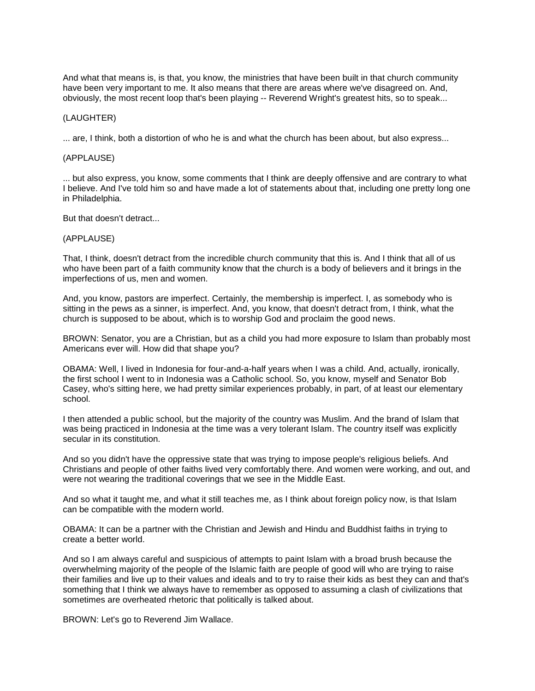And what that means is, is that, you know, the ministries that have been built in that church community have been very important to me. It also means that there are areas where we've disagreed on. And, obviously, the most recent loop that's been playing -- Reverend Wright's greatest hits, so to speak...

### (LAUGHTER)

... are, I think, both a distortion of who he is and what the church has been about, but also express...

### (APPLAUSE)

... but also express, you know, some comments that I think are deeply offensive and are contrary to what I believe. And I've told him so and have made a lot of statements about that, including one pretty long one in Philadelphia.

But that doesn't detract...

### (APPLAUSE)

That, I think, doesn't detract from the incredible church community that this is. And I think that all of us who have been part of a faith community know that the church is a body of believers and it brings in the imperfections of us, men and women.

And, you know, pastors are imperfect. Certainly, the membership is imperfect. I, as somebody who is sitting in the pews as a sinner, is imperfect. And, you know, that doesn't detract from, I think, what the church is supposed to be about, which is to worship God and proclaim the good news.

BROWN: Senator, you are a Christian, but as a child you had more exposure to Islam than probably most Americans ever will. How did that shape you?

OBAMA: Well, I lived in Indonesia for four-and-a-half years when I was a child. And, actually, ironically, the first school I went to in Indonesia was a Catholic school. So, you know, myself and Senator Bob Casey, who's sitting here, we had pretty similar experiences probably, in part, of at least our elementary school.

I then attended a public school, but the majority of the country was Muslim. And the brand of Islam that was being practiced in Indonesia at the time was a very tolerant Islam. The country itself was explicitly secular in its constitution.

And so you didn't have the oppressive state that was trying to impose people's religious beliefs. And Christians and people of other faiths lived very comfortably there. And women were working, and out, and were not wearing the traditional coverings that we see in the Middle East.

And so what it taught me, and what it still teaches me, as I think about foreign policy now, is that Islam can be compatible with the modern world.

OBAMA: It can be a partner with the Christian and Jewish and Hindu and Buddhist faiths in trying to create a better world.

And so I am always careful and suspicious of attempts to paint Islam with a broad brush because the overwhelming majority of the people of the Islamic faith are people of good will who are trying to raise their families and live up to their values and ideals and to try to raise their kids as best they can and that's something that I think we always have to remember as opposed to assuming a clash of civilizations that sometimes are overheated rhetoric that politically is talked about.

BROWN: Let's go to Reverend Jim Wallace.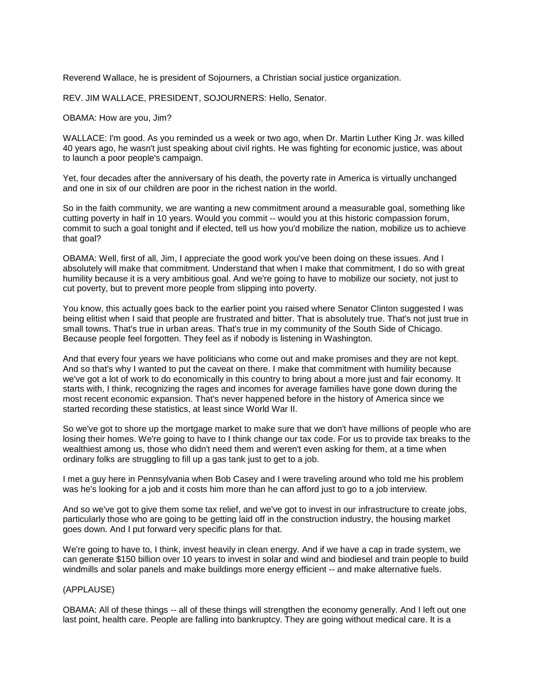Reverend Wallace, he is president of Sojourners, a Christian social justice organization.

REV. JIM WALLACE, PRESIDENT, SOJOURNERS: Hello, Senator.

OBAMA: How are you, Jim?

WALLACE: I'm good. As you reminded us a week or two ago, when Dr. Martin Luther King Jr. was killed 40 years ago, he wasn't just speaking about civil rights. He was fighting for economic justice, was about to launch a poor people's campaign.

Yet, four decades after the anniversary of his death, the poverty rate in America is virtually unchanged and one in six of our children are poor in the richest nation in the world.

So in the faith community, we are wanting a new commitment around a measurable goal, something like cutting poverty in half in 10 years. Would you commit -- would you at this historic compassion forum, commit to such a goal tonight and if elected, tell us how you'd mobilize the nation, mobilize us to achieve that goal?

OBAMA: Well, first of all, Jim, I appreciate the good work you've been doing on these issues. And I absolutely will make that commitment. Understand that when I make that commitment, I do so with great humility because it is a very ambitious goal. And we're going to have to mobilize our society, not just to cut poverty, but to prevent more people from slipping into poverty.

You know, this actually goes back to the earlier point you raised where Senator Clinton suggested I was being elitist when I said that people are frustrated and bitter. That is absolutely true. That's not just true in small towns. That's true in urban areas. That's true in my community of the South Side of Chicago. Because people feel forgotten. They feel as if nobody is listening in Washington.

And that every four years we have politicians who come out and make promises and they are not kept. And so that's why I wanted to put the caveat on there. I make that commitment with humility because we've got a lot of work to do economically in this country to bring about a more just and fair economy. It starts with, I think, recognizing the rages and incomes for average families have gone down during the most recent economic expansion. That's never happened before in the history of America since we started recording these statistics, at least since World War II.

So we've got to shore up the mortgage market to make sure that we don't have millions of people who are losing their homes. We're going to have to I think change our tax code. For us to provide tax breaks to the wealthiest among us, those who didn't need them and weren't even asking for them, at a time when ordinary folks are struggling to fill up a gas tank just to get to a job.

I met a guy here in Pennsylvania when Bob Casey and I were traveling around who told me his problem was he's looking for a job and it costs him more than he can afford just to go to a job interview.

And so we've got to give them some tax relief, and we've got to invest in our infrastructure to create jobs, particularly those who are going to be getting laid off in the construction industry, the housing market goes down. And I put forward very specific plans for that.

We're going to have to, I think, invest heavily in clean energy. And if we have a cap in trade system, we can generate \$150 billion over 10 years to invest in solar and wind and biodiesel and train people to build windmills and solar panels and make buildings more energy efficient -- and make alternative fuels.

# (APPLAUSE)

OBAMA: All of these things -- all of these things will strengthen the economy generally. And I left out one last point, health care. People are falling into bankruptcy. They are going without medical care. It is a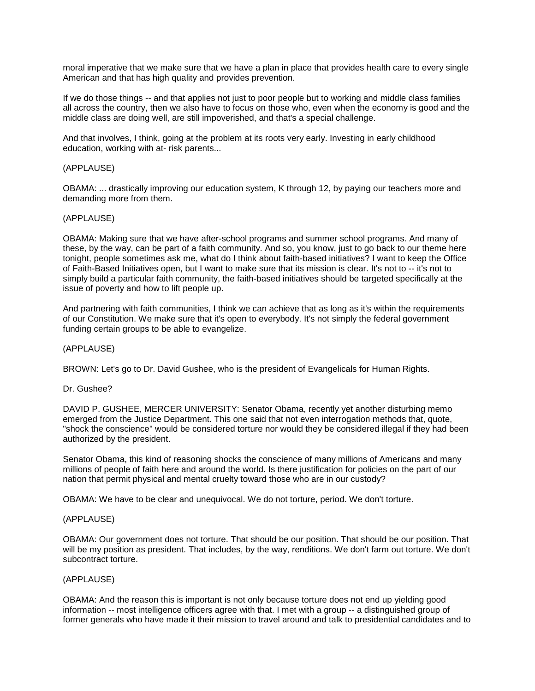moral imperative that we make sure that we have a plan in place that provides health care to every single American and that has high quality and provides prevention.

If we do those things -- and that applies not just to poor people but to working and middle class families all across the country, then we also have to focus on those who, even when the economy is good and the middle class are doing well, are still impoverished, and that's a special challenge.

And that involves, I think, going at the problem at its roots very early. Investing in early childhood education, working with at- risk parents...

# (APPLAUSE)

OBAMA: ... drastically improving our education system, K through 12, by paying our teachers more and demanding more from them.

# (APPLAUSE)

OBAMA: Making sure that we have after-school programs and summer school programs. And many of these, by the way, can be part of a faith community. And so, you know, just to go back to our theme here tonight, people sometimes ask me, what do I think about faith-based initiatives? I want to keep the Office of Faith-Based Initiatives open, but I want to make sure that its mission is clear. It's not to -- it's not to simply build a particular faith community, the faith-based initiatives should be targeted specifically at the issue of poverty and how to lift people up.

And partnering with faith communities, I think we can achieve that as long as it's within the requirements of our Constitution. We make sure that it's open to everybody. It's not simply the federal government funding certain groups to be able to evangelize.

### (APPLAUSE)

BROWN: Let's go to Dr. David Gushee, who is the president of Evangelicals for Human Rights.

### Dr. Gushee?

DAVID P. GUSHEE, MERCER UNIVERSITY: Senator Obama, recently yet another disturbing memo emerged from the Justice Department. This one said that not even interrogation methods that, quote, "shock the conscience" would be considered torture nor would they be considered illegal if they had been authorized by the president.

Senator Obama, this kind of reasoning shocks the conscience of many millions of Americans and many millions of people of faith here and around the world. Is there justification for policies on the part of our nation that permit physical and mental cruelty toward those who are in our custody?

OBAMA: We have to be clear and unequivocal. We do not torture, period. We don't torture.

# (APPLAUSE)

OBAMA: Our government does not torture. That should be our position. That should be our position. That will be my position as president. That includes, by the way, renditions. We don't farm out torture. We don't subcontract torture.

### (APPLAUSE)

OBAMA: And the reason this is important is not only because torture does not end up yielding good information -- most intelligence officers agree with that. I met with a group -- a distinguished group of former generals who have made it their mission to travel around and talk to presidential candidates and to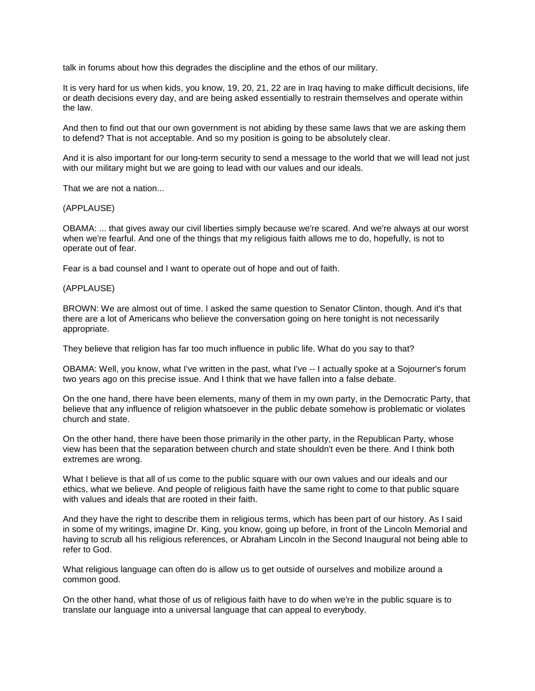talk in forums about how this degrades the discipline and the ethos of our military.

It is very hard for us when kids, you know, 19, 20, 21, 22 are in Iraq having to make difficult decisions, life or death decisions every day, and are being asked essentially to restrain themselves and operate within the law.

And then to find out that our own government is not abiding by these same laws that we are asking them to defend? That is not acceptable. And so my position is going to be absolutely clear.

And it is also important for our long-term security to send a message to the world that we will lead not just with our military might but we are going to lead with our values and our ideals.

That we are not a nation...

(APPLAUSE)

OBAMA: ... that gives away our civil liberties simply because we're scared. And we're always at our worst when we're fearful. And one of the things that my religious faith allows me to do, hopefully, is not to operate out of fear.

Fear is a bad counsel and I want to operate out of hope and out of faith.

# (APPLAUSE)

BROWN: We are almost out of time. I asked the same question to Senator Clinton, though. And it's that there are a lot of Americans who believe the conversation going on here tonight is not necessarily appropriate.

They believe that religion has far too much influence in public life. What do you say to that?

OBAMA: Well, you know, what I've written in the past, what I've -- I actually spoke at a Sojourner's forum two years ago on this precise issue. And I think that we have fallen into a false debate.

On the one hand, there have been elements, many of them in my own party, in the Democratic Party, that believe that any influence of religion whatsoever in the public debate somehow is problematic or violates church and state.

On the other hand, there have been those primarily in the other party, in the Republican Party, whose view has been that the separation between church and state shouldn't even be there. And I think both extremes are wrong.

What I believe is that all of us come to the public square with our own values and our ideals and our ethics, what we believe. And people of religious faith have the same right to come to that public square with values and ideals that are rooted in their faith.

And they have the right to describe them in religious terms, which has been part of our history. As I said in some of my writings, imagine Dr. King, you know, going up before, in front of the Lincoln Memorial and having to scrub all his religious references, or Abraham Lincoln in the Second Inaugural not being able to refer to God.

What religious language can often do is allow us to get outside of ourselves and mobilize around a common good.

On the other hand, what those of us of religious faith have to do when we're in the public square is to translate our language into a universal language that can appeal to everybody.